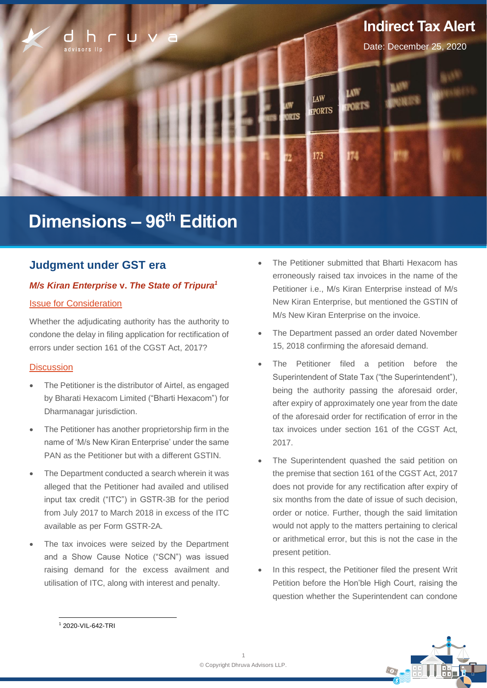

# **Dimensions – 96 th Edition**

### **Judgment under GST era**

### *M/s Kiran Enterprise* **v.** *The State of Tripura<sup>1</sup>*

#### Issue for Consideration

Whether the adjudicating authority has the authority to condone the delay in filing application for rectification of errors under section 161 of the CGST Act, 2017?

### **Discussion**

- The Petitioner is the distributor of Airtel, as engaged by Bharati Hexacom Limited ("Bharti Hexacom") for Dharmanagar jurisdiction.
- The Petitioner has another proprietorship firm in the name of 'M/s New Kiran Enterprise' under the same PAN as the Petitioner but with a different GSTIN.
- The Department conducted a search wherein it was alleged that the Petitioner had availed and utilised input tax credit ("ITC") in GSTR-3B for the period from July 2017 to March 2018 in excess of the ITC available as per Form GSTR-2A.
- The tax invoices were seized by the Department and a Show Cause Notice ("SCN") was issued raising demand for the excess availment and utilisation of ITC, along with interest and penalty.
- The Petitioner submitted that Bharti Hexacom has erroneously raised tax invoices in the name of the Petitioner i.e., M/s Kiran Enterprise instead of M/s New Kiran Enterprise, but mentioned the GSTIN of M/s New Kiran Enterprise on the invoice.
- The Department passed an order dated November 15, 2018 confirming the aforesaid demand.
- The Petitioner filed a petition before the Superintendent of State Tax ("the Superintendent"), being the authority passing the aforesaid order, after expiry of approximately one year from the date of the aforesaid order for rectification of error in the tax invoices under section 161 of the CGST Act, 2017.
- The Superintendent quashed the said petition on the premise that section 161 of the CGST Act, 2017 does not provide for any rectification after expiry of six months from the date of issue of such decision, order or notice. Further, though the said limitation would not apply to the matters pertaining to clerical or arithmetical error, but this is not the case in the present petition.
- In this respect, the Petitioner filed the present Writ Petition before the Hon'ble High Court, raising the question whether the Superintendent can condone



<sup>1</sup> 2020-VIL-642-TRI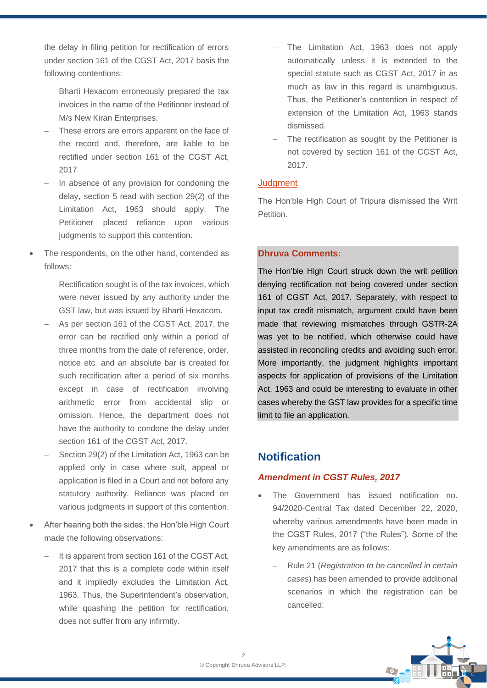the delay in filing petition for rectification of errors under section 161 of the CGST Act, 2017 basis the following contentions:

- − Bharti Hexacom erroneously prepared the tax invoices in the name of the Petitioner instead of M/s New Kiran Enterprises.
- These errors are errors apparent on the face of the record and, therefore, are liable to be rectified under section 161 of the CGST Act, 2017.
- In absence of any provision for condoning the delay, section 5 read with section 29(2) of the Limitation Act, 1963 should apply. The Petitioner placed reliance upon various judgments to support this contention.
- The respondents, on the other hand, contended as follows:
	- Rectification sought is of the tax invoices, which were never issued by any authority under the GST law, but was issued by Bharti Hexacom.
	- As per section 161 of the CGST Act, 2017, the error can be rectified only within a period of three months from the date of reference, order, notice etc. and an absolute bar is created for such rectification after a period of six months except in case of rectification involving arithmetic error from accidental slip or omission. Hence, the department does not have the authority to condone the delay under section 161 of the CGST Act, 2017.
	- Section 29(2) of the Limitation Act, 1963 can be applied only in case where suit, appeal or application is filed in a Court and not before any statutory authority. Reliance was placed on various judgments in support of this contention.
- After hearing both the sides, the Hon'ble High Court made the following observations:
	- It is apparent from section 161 of the CGST Act, 2017 that this is a complete code within itself and it impliedly excludes the Limitation Act, 1963. Thus, the Superintendent's observation, while quashing the petition for rectification, does not suffer from any infirmity.
- The Limitation Act, 1963 does not apply automatically unless it is extended to the special statute such as CGST Act, 2017 in as much as law in this regard is unambiguous. Thus, the Petitioner's contention in respect of extension of the Limitation Act, 1963 stands dismissed.
- The rectification as sought by the Petitioner is not covered by section 161 of the CGST Act, 2017.

### **Judgment**

The Hon'ble High Court of Tripura dismissed the Writ **Petition** 

### **Dhruva Comments:**

The Hon'ble High Court struck down the writ petition denying rectification not being covered under section 161 of CGST Act, 2017. Separately, with respect to input tax credit mismatch, argument could have been made that reviewing mismatches through GSTR-2A was yet to be notified, which otherwise could have assisted in reconciling credits and avoiding such error. More importantly, the judgment highlights important aspects for application of provisions of the Limitation Act, 1963 and could be interesting to evaluate in other cases whereby the GST law provides for a specific time limit to file an application.

## **Notification**

### *Amendment in CGST Rules, 2017*

- The Government has issued notification no. 94/2020-Central Tax dated December 22, 2020, whereby various amendments have been made in the CGST Rules, 2017 ("the Rules"). Some of the key amendments are as follows:
	- − Rule 21 (*Registration to be cancelled in certain cases*) has been amended to provide additional scenarios in which the registration can be cancelled:

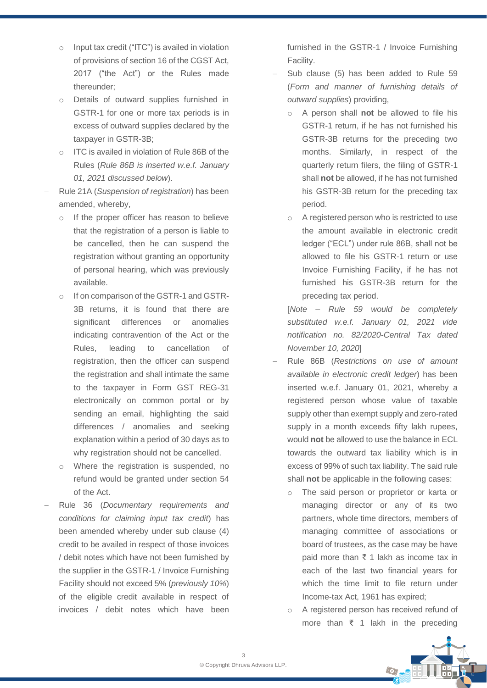- o Input tax credit ("ITC") is availed in violation of provisions of section 16 of the CGST Act, 2017 ("the Act") or the Rules made thereunder;
- o Details of outward supplies furnished in GSTR-1 for one or more tax periods is in excess of outward supplies declared by the taxpayer in GSTR-3B;
- o ITC is availed in violation of Rule 86B of the Rules (*Rule 86B is inserted w.e.f. January 01, 2021 discussed below*).
- − Rule 21A (*Suspension of registration*) has been amended, whereby,
	- If the proper officer has reason to believe that the registration of a person is liable to be cancelled, then he can suspend the registration without granting an opportunity of personal hearing, which was previously available.
	- o If on comparison of the GSTR-1 and GSTR-3B returns, it is found that there are significant differences or anomalies indicating contravention of the Act or the Rules, leading to cancellation of registration, then the officer can suspend the registration and shall intimate the same to the taxpayer in Form GST REG-31 electronically on common portal or by sending an email, highlighting the said differences / anomalies and seeking explanation within a period of 30 days as to why registration should not be cancelled.
	- o Where the registration is suspended, no refund would be granted under section 54 of the Act.
- − Rule 36 (*Documentary requirements and conditions for claiming input tax credit*) has been amended whereby under sub clause (4) credit to be availed in respect of those invoices / debit notes which have not been furnished by the supplier in the GSTR-1 / Invoice Furnishing Facility should not exceed 5% (*previously 10%*) of the eligible credit available in respect of invoices / debit notes which have been

furnished in the GSTR-1 / Invoice Furnishing Facility.

- Sub clause (5) has been added to Rule 59 (*Form and manner of furnishing details of outward supplies*) providing,
	- o A person shall **not** be allowed to file his GSTR-1 return, if he has not furnished his GSTR-3B returns for the preceding two months. Similarly, in respect of the quarterly return filers, the filing of GSTR-1 shall **not** be allowed, if he has not furnished his GSTR-3B return for the preceding tax period.
	- o A registered person who is restricted to use the amount available in electronic credit ledger ("ECL") under rule 86B, shall not be allowed to file his GSTR-1 return or use Invoice Furnishing Facility, if he has not furnished his GSTR-3B return for the preceding tax period.

[*Note – Rule 59 would be completely substituted w.e.f. January 01, 2021 vide notification no. 82/2020-Central Tax dated November 10, 2020*]

- − Rule 86B (*Restrictions on use of amount available in electronic credit ledger*) has been inserted w.e.f. January 01, 2021, whereby a registered person whose value of taxable supply other than exempt supply and zero-rated supply in a month exceeds fifty lakh rupees. would **not** be allowed to use the balance in ECL towards the outward tax liability which is in excess of 99% of such tax liability. The said rule shall **not** be applicable in the following cases:
	- o The said person or proprietor or karta or managing director or any of its two partners, whole time directors, members of managing committee of associations or board of trustees, as the case may be have paid more than ₹ 1 lakh as income tax in each of the last two financial years for which the time limit to file return under Income-tax Act, 1961 has expired;
	- o A registered person has received refund of more than ₹ 1 lakh in the preceding

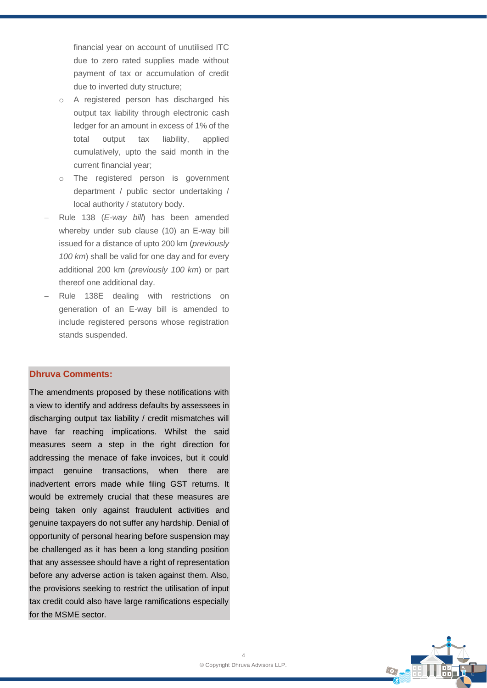financial year on account of unutilised ITC due to zero rated supplies made without payment of tax or accumulation of credit due to inverted duty structure;

- o A registered person has discharged his output tax liability through electronic cash ledger for an amount in excess of 1% of the total output tax liability, applied cumulatively, upto the said month in the current financial year;
- o The registered person is government department / public sector undertaking / local authority / statutory body.
- − Rule 138 (*E-way bill*) has been amended whereby under sub clause (10) an E-way bill issued for a distance of upto 200 km (*previously 100 km*) shall be valid for one day and for every additional 200 km (*previously 100 km*) or part thereof one additional day.
- Rule 138E dealing with restrictions on generation of an E-way bill is amended to include registered persons whose registration stands suspended.

### **Dhruva Comments:**

The amendments proposed by these notifications with a view to identify and address defaults by assessees in discharging output tax liability / credit mismatches will have far reaching implications. Whilst the said measures seem a step in the right direction for addressing the menace of fake invoices, but it could impact genuine transactions, when there are inadvertent errors made while filing GST returns. It would be extremely crucial that these measures are being taken only against fraudulent activities and genuine taxpayers do not suffer any hardship. Denial of opportunity of personal hearing before suspension may be challenged as it has been a long standing position that any assessee should have a right of representation before any adverse action is taken against them. Also, the provisions seeking to restrict the utilisation of input tax credit could also have large ramifications especially for the MSME sector.